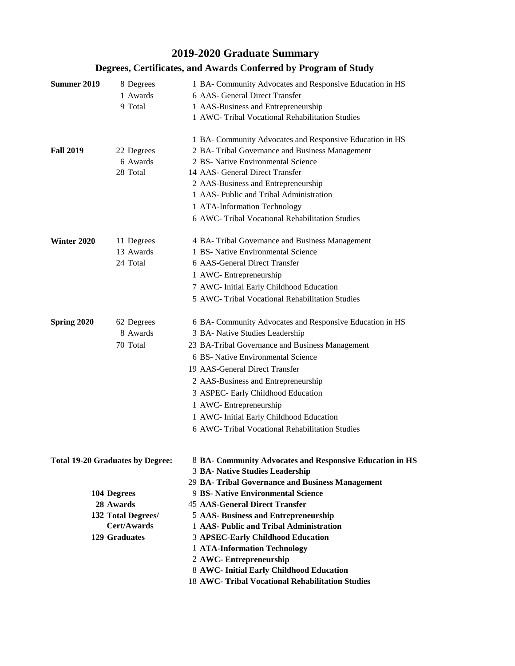## **2019-2020 Graduate Summary**

| <b>Summer 2019</b><br><b>Fall 2019</b>                                                                                           | 8 Degrees<br>1 Awards<br>9 Total<br>22 Degrees<br>6 Awards<br>28 Total | 1 BA- Community Advocates and Responsive Education in HS<br>6 AAS- General Direct Transfer<br>1 AAS-Business and Entrepreneurship<br>1 AWC- Tribal Vocational Rehabilitation Studies<br>1 BA- Community Advocates and Responsive Education in HS<br>2 BA- Tribal Governance and Business Management<br>2 BS- Native Environmental Science<br>14 AAS- General Direct Transfer<br>2 AAS-Business and Entrepreneurship<br>1 AAS- Public and Tribal Administration<br>1 ATA-Information Technology<br>6 AWC- Tribal Vocational Rehabilitation Studies |  |  |  |
|----------------------------------------------------------------------------------------------------------------------------------|------------------------------------------------------------------------|---------------------------------------------------------------------------------------------------------------------------------------------------------------------------------------------------------------------------------------------------------------------------------------------------------------------------------------------------------------------------------------------------------------------------------------------------------------------------------------------------------------------------------------------------|--|--|--|
| Winter 2020                                                                                                                      | 11 Degrees<br>13 Awards<br>24 Total                                    | 4 BA- Tribal Governance and Business Management<br>1 BS- Native Environmental Science<br>6 AAS-General Direct Transfer<br>1 AWC-Entrepreneurship<br>7 AWC- Initial Early Childhood Education<br>5 AWC- Tribal Vocational Rehabilitation Studies                                                                                                                                                                                                                                                                                                   |  |  |  |
| Spring 2020                                                                                                                      | 62 Degrees<br>8 Awards<br>70 Total                                     | 6 BA- Community Advocates and Responsive Education in HS<br>3 BA- Native Studies Leadership<br>23 BA-Tribal Governance and Business Management<br>6 BS- Native Environmental Science<br>19 AAS-General Direct Transfer<br>2 AAS-Business and Entrepreneurship<br>3 ASPEC- Early Childhood Education<br>1 AWC-Entrepreneurship<br>1 AWC- Initial Early Childhood Education<br>6 AWC- Tribal Vocational Rehabilitation Studies                                                                                                                      |  |  |  |
| <b>Total 19-20 Graduates by Degree:</b><br>104 Degrees<br>28 Awards<br>132 Total Degrees/<br>Cert/Awards<br><b>129 Graduates</b> |                                                                        | 8 BA- Community Advocates and Responsive Education in HS<br>3 BA- Native Studies Leadership<br>29 BA- Tribal Governance and Business Management<br>9 BS- Native Environmental Science<br><b>45 AAS-General Direct Transfer</b><br>5 AAS- Business and Entrepreneurship<br>1 AAS- Public and Tribal Administration<br>3 APSEC-Early Childhood Education<br>1 ATA-Information Technology<br>2 AWC- Entrepreneurship<br>8 AWC- Initial Early Childhood Education<br>18 AWC- Tribal Vocational Rehabilitation Studies                                 |  |  |  |

## **Degrees, Certificates, and Awards Conferred by Program of Study**